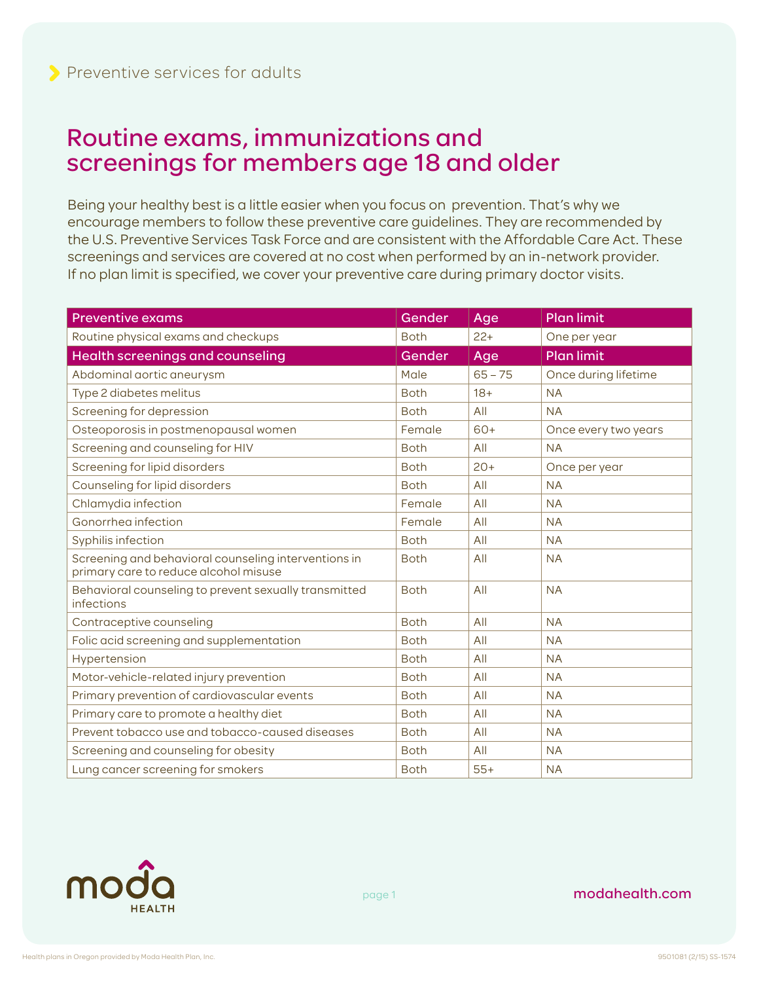## Routine exams, immunizations and screenings for members age 18 and older

Being your healthy best is a little easier when you focus on prevention. That's why we encourage members to follow these preventive care guidelines. They are recommended by the U.S. Preventive Services Task Force and are consistent with the Affordable Care Act. These screenings and services are covered at no cost when performed by an in-network provider. If no plan limit is specified, we cover your preventive care during primary doctor visits.

| <b>Preventive exams</b>                                                                       | Gender      | Age       | <b>Plan limit</b>    |
|-----------------------------------------------------------------------------------------------|-------------|-----------|----------------------|
| Routine physical exams and checkups                                                           | <b>Both</b> | $22+$     | One per year         |
| Health screenings and counseling                                                              | Gender      | Age       | <b>Plan limit</b>    |
| Abdominal aortic aneurysm                                                                     | Male        | $65 - 75$ | Once during lifetime |
| Type 2 diabetes melitus                                                                       | <b>Both</b> | $18+$     | <b>NA</b>            |
| Screening for depression                                                                      | <b>Both</b> | All       | <b>NA</b>            |
| Osteoporosis in postmenopausal women                                                          | Female      | $60+$     | Once every two years |
| Screening and counseling for HIV                                                              | <b>Both</b> | All       | <b>NA</b>            |
| Screening for lipid disorders                                                                 | <b>Both</b> | $20+$     | Once per year        |
| Counseling for lipid disorders                                                                | <b>Both</b> | All       | <b>NA</b>            |
| Chlamydia infection                                                                           | Female      | All       | <b>NA</b>            |
| Gonorrhea infection                                                                           | Female      | All       | <b>NA</b>            |
| Syphilis infection                                                                            | <b>Both</b> | All       | <b>NA</b>            |
| Screening and behavioral counseling interventions in<br>primary care to reduce alcohol misuse | <b>Both</b> | All       | <b>NA</b>            |
| Behavioral counseling to prevent sexually transmitted<br>infections                           | <b>Both</b> | All       | <b>NA</b>            |
| Contraceptive counseling                                                                      | <b>Both</b> | All       | <b>NA</b>            |
| Folic acid screening and supplementation                                                      | <b>Both</b> | All       | <b>NA</b>            |
| Hypertension                                                                                  | <b>Both</b> | All       | <b>NA</b>            |
| Motor-vehicle-related injury prevention                                                       | <b>Both</b> | All       | <b>NA</b>            |
| Primary prevention of cardiovascular events                                                   | <b>Both</b> | All       | <b>NA</b>            |
| Primary care to promote a healthy diet                                                        | <b>Both</b> | All       | <b>NA</b>            |
| Prevent tobacco use and tobacco-caused diseases                                               | <b>Both</b> | All       | <b>NA</b>            |
| Screening and counseling for obesity                                                          | <b>Both</b> | All       | <b>NA</b>            |
| Lung cancer screening for smokers                                                             | <b>Both</b> | $55+$     | <b>NA</b>            |



page 1

## modahealth.com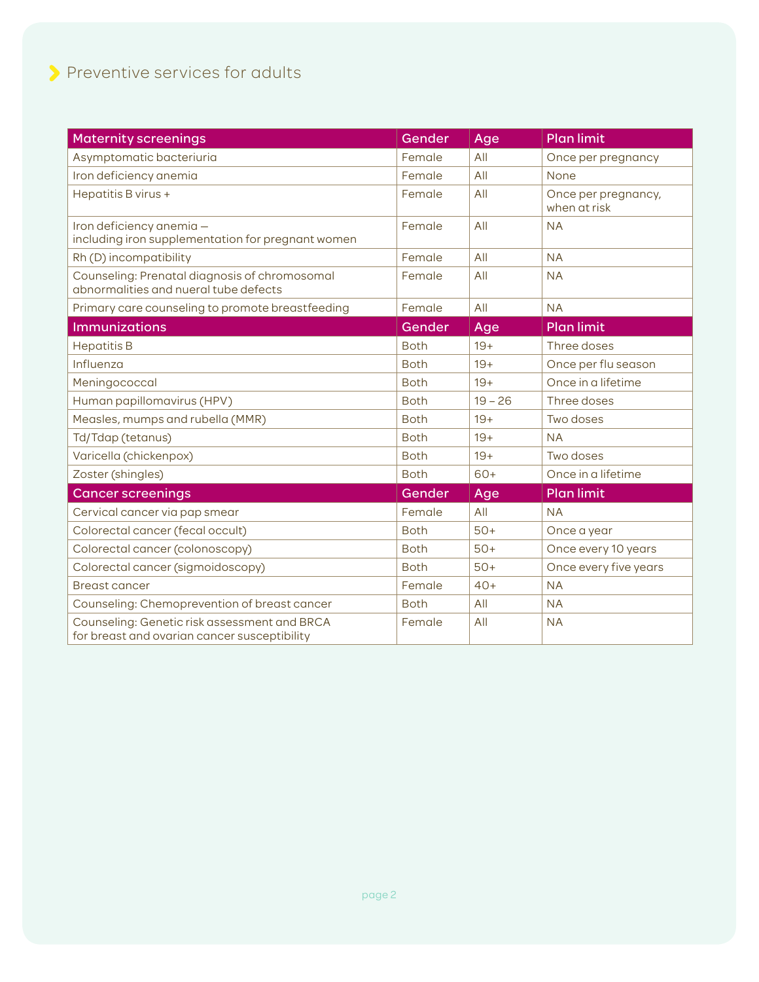| <b>Maternity screenings</b>                                                                  | Gender      | Age       | <b>Plan limit</b>                   |
|----------------------------------------------------------------------------------------------|-------------|-----------|-------------------------------------|
| Asymptomatic bacteriuria                                                                     | Female      | All       | Once per pregnancy                  |
| Iron deficiency anemia                                                                       | Female      | All       | None                                |
| Hepatitis B virus +                                                                          | Female      | All       | Once per pregnancy,<br>when at risk |
| Iron deficiency anemia -<br>including iron supplementation for pregnant women                | Female      | All       | <b>NA</b>                           |
| Rh (D) incompatibility                                                                       | Female      | All       | <b>NA</b>                           |
| Counseling: Prenatal diagnosis of chromosomal<br>abnormalities and nueral tube defects       | Female      | All       | <b>NA</b>                           |
| Primary care counseling to promote breastfeeding                                             | Female      | All       | <b>NA</b>                           |
| <b>Immunizations</b>                                                                         | Gender      | Age       | <b>Plan limit</b>                   |
| <b>Hepatitis B</b>                                                                           | <b>Both</b> | $19+$     | Three doses                         |
| Influenza                                                                                    | <b>Both</b> | $19+$     | Once per flu season                 |
| Meningococcal                                                                                | <b>Both</b> | $19+$     | Once in a lifetime                  |
| Human papillomavirus (HPV)                                                                   | <b>Both</b> | $19 - 26$ | Three doses                         |
| Measles, mumps and rubella (MMR)                                                             | <b>Both</b> | $19+$     | Two doses                           |
| Td/Tdap (tetanus)                                                                            | <b>Both</b> | $19+$     | <b>NA</b>                           |
| Varicella (chickenpox)                                                                       | <b>Both</b> | $19+$     | Two doses                           |
| Zoster (shingles)                                                                            | <b>Both</b> | 60+       | Once in a lifetime                  |
| <b>Cancer screenings</b>                                                                     | Gender      | Age       | <b>Plan limit</b>                   |
| Cervical cancer via pap smear                                                                | Female      | All       | <b>NA</b>                           |
| Colorectal cancer (fecal occult)                                                             | <b>Both</b> | $50+$     | Once a year                         |
| Colorectal cancer (colonoscopy)                                                              | <b>Both</b> | $50+$     | Once every 10 years                 |
| Colorectal cancer (sigmoidoscopy)                                                            | <b>Both</b> | $50+$     | Once every five years               |
| <b>Breast cancer</b>                                                                         | Female      | $40+$     | <b>NA</b>                           |
| Counseling: Chemoprevention of breast cancer                                                 | <b>Both</b> | All       | <b>NA</b>                           |
| Counseling: Genetic risk assessment and BRCA<br>for breast and ovarian cancer susceptibility | Female      | All       | <b>NA</b>                           |